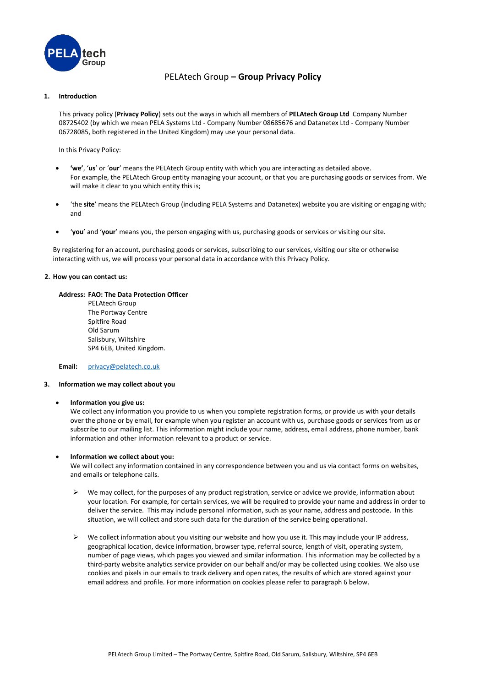

# PELAtech Group **– Group Privacy Policy**

# **1. Introduction**

This privacy policy (**Privacy Policy**) sets out the ways in which all members of **PELAtech Group Ltd** Company Number 08725402 (by which we mean PELA Systems Ltd - Company Number 08685676 and Datanetex Ltd - Company Number 06728085, both registered in the United Kingdom) may use your personal data.

In this Privacy Policy:

- **'we'**, '**us**' or '**our**' means the PELAtech Group entity with which you are interacting as detailed above. For example, the PELAtech Group entity managing your account, or that you are purchasing goods or services from. We will make it clear to you which entity this is;
- 'the **site**' means the PELAtech Group (including PELA Systems and Datanetex) website you are visiting or engaging with; and
- '**you**' and '**your**' means you, the person engaging with us, purchasing goods or services or visiting our site.

By registering for an account, purchasing goods or services, subscribing to our services, visiting our site or otherwise interacting with us, we will process your personal data in accordance with this Privacy Policy.

# **2. How you can contact us:**

# **Address: FAO: The Data Protection Officer**

PELAtech Group The Portway Centre Spitfire Road Old Sarum Salisbury, Wiltshire SP4 6EB, United Kingdom.

**Email:** [privacy@pelatech.co.uk](mailto:privacy@pelatech.co.uk)

#### **3. Information we may collect about you**

#### • **Information you give us:**

We collect any information you provide to us when you complete registration forms, or provide us with your details over the phone or by email, for example when you register an account with us, purchase goods or services from us or subscribe to our mailing list. This information might include your name, address, email address, phone number, bank information and other information relevant to a product or service.

#### • **Information we collect about you:**

We will collect any information contained in any correspondence between you and us via contact forms on websites, and emails or telephone calls.

- $\triangleright$  We may collect, for the purposes of any product registration, service or advice we provide, information about your location. For example, for certain services, we will be required to provide your name and address in order to deliver the service. This may include personal information, such as your name, address and postcode. In this situation, we will collect and store such data for the duration of the service being operational.
- ➢ We collect information about you visiting our website and how you use it. This may include your IP address, geographical location, device information, browser type, referral source, length of visit, operating system, number of page views, which pages you viewed and similar information. This information may be collected by a third-party website analytics service provider on our behalf and/or may be collected using cookies. We also use cookies and pixels in our emails to track delivery and open rates, the results of which are stored against your email address and profile. For more information on cookies please refer to paragraph 6 below.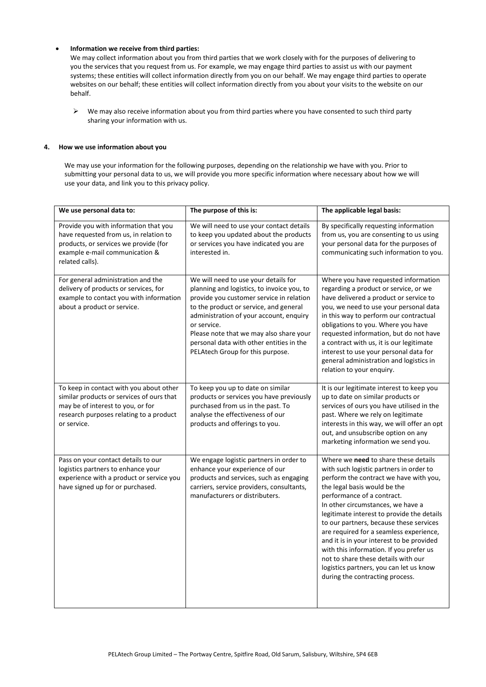# • **Information we receive from third parties:**

We may collect information about you from third parties that we work closely with for the purposes of delivering to you the services that you request from us. For example, we may engage third parties to assist us with our payment systems; these entities will collect information directly from you on our behalf. We may engage third parties to operate websites on our behalf; these entities will collect information directly from you about your visits to the website on our behalf.

➢ We may also receive information about you from third parties where you have consented to such third party sharing your information with us.

# **4. How we use information about you**

We may use your information for the following purposes, depending on the relationship we have with you. Prior to submitting your personal data to us, we will provide you more specific information where necessary about how we will use your data, and link you to this privacy policy.

| We use personal data to:                                                                                                                                                            | The purpose of this is:                                                                                                                                                                                                                                                                                                                                       | The applicable legal basis:                                                                                                                                                                                                                                                                                                                                                                                                                                                                                                                                                   |
|-------------------------------------------------------------------------------------------------------------------------------------------------------------------------------------|---------------------------------------------------------------------------------------------------------------------------------------------------------------------------------------------------------------------------------------------------------------------------------------------------------------------------------------------------------------|-------------------------------------------------------------------------------------------------------------------------------------------------------------------------------------------------------------------------------------------------------------------------------------------------------------------------------------------------------------------------------------------------------------------------------------------------------------------------------------------------------------------------------------------------------------------------------|
| Provide you with information that you<br>have requested from us, in relation to<br>products, or services we provide (for<br>example e-mail communication &<br>related calls).       | We will need to use your contact details<br>to keep you updated about the products<br>or services you have indicated you are<br>interested in.                                                                                                                                                                                                                | By specifically requesting information<br>from us, you are consenting to us using<br>your personal data for the purposes of<br>communicating such information to you.                                                                                                                                                                                                                                                                                                                                                                                                         |
| For general administration and the<br>delivery of products or services, for<br>example to contact you with information<br>about a product or service.                               | We will need to use your details for<br>planning and logistics, to invoice you, to<br>provide you customer service in relation<br>to the product or service, and general<br>administration of your account, enquiry<br>or service.<br>Please note that we may also share your<br>personal data with other entities in the<br>PELAtech Group for this purpose. | Where you have requested information<br>regarding a product or service, or we<br>have delivered a product or service to<br>you, we need to use your personal data<br>in this way to perform our contractual<br>obligations to you. Where you have<br>requested information, but do not have<br>a contract with us, it is our legitimate<br>interest to use your personal data for<br>general administration and logistics in<br>relation to your enquiry.                                                                                                                     |
| To keep in contact with you about other<br>similar products or services of ours that<br>may be of interest to you, or for<br>research purposes relating to a product<br>or service. | To keep you up to date on similar<br>products or services you have previously<br>purchased from us in the past. To<br>analyse the effectiveness of our<br>products and offerings to you.                                                                                                                                                                      | It is our legitimate interest to keep you<br>up to date on similar products or<br>services of ours you have utilised in the<br>past. Where we rely on legitimate<br>interests in this way, we will offer an opt<br>out, and unsubscribe option on any<br>marketing information we send you.                                                                                                                                                                                                                                                                                   |
| Pass on your contact details to our<br>logistics partners to enhance your<br>experience with a product or service you<br>have signed up for or purchased.                           | We engage logistic partners in order to<br>enhance your experience of our<br>products and services, such as engaging<br>carriers, service providers, consultants,<br>manufacturers or distributers.                                                                                                                                                           | Where we need to share these details<br>with such logistic partners in order to<br>perform the contract we have with you,<br>the legal basis would be the<br>performance of a contract.<br>In other circumstances, we have a<br>legitimate interest to provide the details<br>to our partners, because these services<br>are required for a seamless experience,<br>and it is in your interest to be provided<br>with this information. If you prefer us<br>not to share these details with our<br>logistics partners, you can let us know<br>during the contracting process. |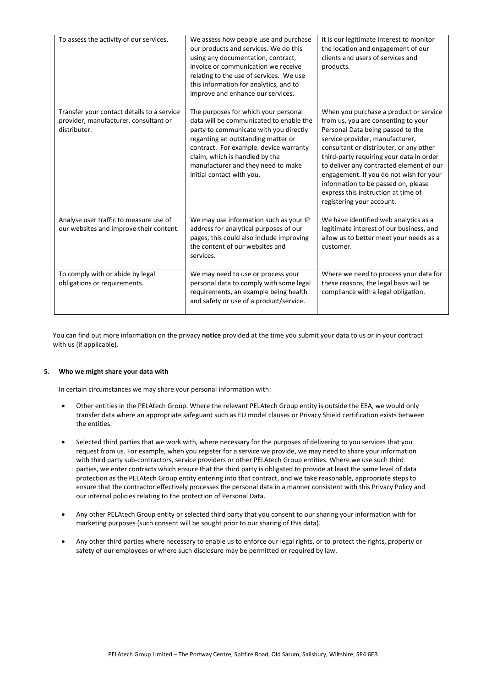| To assess the activity of our services.                                                             | We assess how people use and purchase<br>our products and services. We do this<br>using any documentation, contract,<br>invoice or communication we receive<br>relating to the use of services. We use<br>this information for analytics, and to<br>improve and enhance our services.                          | It is our legitimate interest to monitor<br>the location and engagement of our<br>clients and users of services and<br>products.                                                                                                                                                                                                                                                                                                               |
|-----------------------------------------------------------------------------------------------------|----------------------------------------------------------------------------------------------------------------------------------------------------------------------------------------------------------------------------------------------------------------------------------------------------------------|------------------------------------------------------------------------------------------------------------------------------------------------------------------------------------------------------------------------------------------------------------------------------------------------------------------------------------------------------------------------------------------------------------------------------------------------|
| Transfer your contact details to a service<br>provider, manufacturer, consultant or<br>distributer. | The purposes for which your personal<br>data will be communicated to enable the<br>party to communicate with you directly<br>regarding an outstanding matter or<br>contract. For example: device warranty<br>claim, which is handled by the<br>manufacturer and they need to make<br>initial contact with you. | When you purchase a product or service<br>from us, you are consenting to your<br>Personal Data being passed to the<br>service provider, manufacturer,<br>consultant or distributer, or any other<br>third-party requiring your data in order<br>to deliver any contracted element of our<br>engagement. If you do not wish for your<br>information to be passed on, please<br>express this instruction at time of<br>registering your account. |
| Analyse user traffic to measure use of<br>our websites and improve their content.                   | We may use information such as your IP<br>address for analytical purposes of our<br>pages, this could also include improving<br>the content of our websites and<br>services.                                                                                                                                   | We have identified web analytics as a<br>legitimate interest of our business, and<br>allow us to better meet your needs as a<br>customer.                                                                                                                                                                                                                                                                                                      |
| To comply with or abide by legal<br>obligations or requirements.                                    | We may need to use or process your<br>personal data to comply with some legal<br>requirements, an example being health<br>and safety or use of a product/service.                                                                                                                                              | Where we need to process your data for<br>these reasons, the legal basis will be<br>compliance with a legal obligation.                                                                                                                                                                                                                                                                                                                        |

You can find out more information on the privacy **notice** provided at the time you submit your data to us or in your contract with us (if applicable).

# **5. Who we might share your data with**

In certain circumstances we may share your personal information with:

- Other entities in the PELAtech Group. Where the relevant PELAtech Group entity is outside the EEA, we would only transfer data where an appropriate safeguard such as EU model clauses or Privacy Shield certification exists between the entities.
- Selected third parties that we work with, where necessary for the purposes of delivering to you services that you request from us. For example, when you register for a service we provide, we may need to share your information with third party sub-contractors, service providers or other PELAtech Group entities. Where we use such third parties, we enter contracts which ensure that the third party is obligated to provide at least the same level of data protection as the PELAtech Group entity entering into that contract, and we take reasonable, appropriate steps to ensure that the contractor effectively processes the personal data in a manner consistent with this Privacy Policy and our internal policies relating to the protection of Personal Data.
- Any other PELAtech Group entity or selected third party that you consent to our sharing your information with for marketing purposes (such consent will be sought prior to our sharing of this data).
- Any other third parties where necessary to enable us to enforce our legal rights, or to protect the rights, property or safety of our employees or where such disclosure may be permitted or required by law.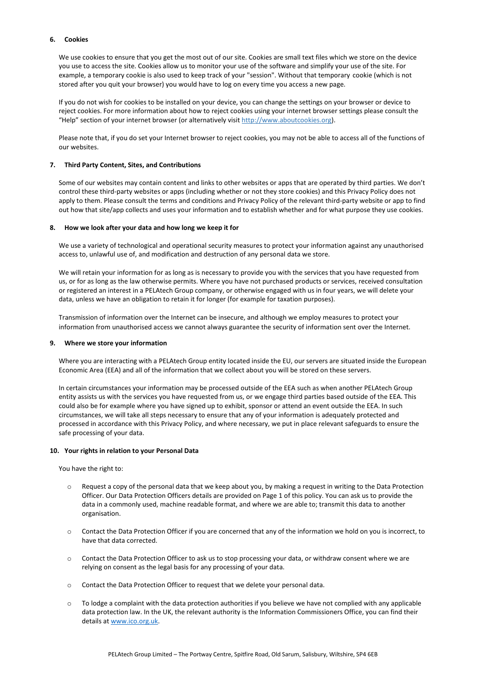# **6. Cookies**

We use cookies to ensure that you get the most out of our site. Cookies are small text files which we store on the device you use to access the site. Cookies allow us to monitor your use of the software and simplify your use of the site. For example, a temporary cookie is also used to keep track of your "session". Without that temporary cookie (which is not stored after you quit your browser) you would have to log on every time you access a new page.

If you do not wish for cookies to be installed on your device, you can change the settings on your browser or device to reject cookies. For more information about how to reject cookies using your internet browser settings please consult the "Help" section of your internet browser (or alternatively visit [http://www.aboutcookies.org\)](http://www.aboutcookies.org/).

Please note that, if you do set your Internet browser to reject cookies, you may not be able to access all of the functions of our websites.

# **7. Third Party Content, Sites, and Contributions**

Some of our websites may contain content and links to other websites or apps that are operated by third parties. We don't control these third-party websites or apps (including whether or not they store cookies) and this Privacy Policy does not apply to them. Please consult the terms and conditions and Privacy Policy of the relevant third-party website or app to find out how that site/app collects and uses your information and to establish whether and for what purpose they use cookies.

# **8. How we look after your data and how long we keep it for**

We use a variety of technological and operational security measures to protect your information against any unauthorised access to, unlawful use of, and modification and destruction of any personal data we store.

We will retain your information for as long as is necessary to provide you with the services that you have requested from us, or for as long as the law otherwise permits. Where you have not purchased products or services, received consultation or registered an interest in a PELAtech Group company, or otherwise engaged with us in four years, we will delete your data, unless we have an obligation to retain it for longer (for example for taxation purposes).

Transmission of information over the Internet can be insecure, and although we employ measures to protect your information from unauthorised access we cannot always guarantee the security of information sent over the Internet.

# **9. Where we store your information**

Where you are interacting with a PELAtech Group entity located inside the EU, our servers are situated inside the European Economic Area (EEA) and all of the information that we collect about you will be stored on these servers.

In certain circumstances your information may be processed outside of the EEA such as when another PELAtech Group entity assists us with the services you have requested from us, or we engage third parties based outside of the EEA. This could also be for example where you have signed up to exhibit, sponsor or attend an event outside the EEA. In such circumstances, we will take all steps necessary to ensure that any of your information is adequately protected and processed in accordance with this Privacy Policy, and where necessary, we put in place relevant safeguards to ensure the safe processing of your data.

# **10. Your rights in relation to your Personal Data**

You have the right to:

- o Request a copy of the personal data that we keep about you, by making a request in writing to the Data Protection Officer. Our Data Protection Officers details are provided on Page 1 of this policy. You can ask us to provide the data in a commonly used, machine readable format, and where we are able to; transmit this data to another organisation.
- o Contact the Data Protection Officer if you are concerned that any of the information we hold on you is incorrect, to have that data corrected.
- o Contact the Data Protection Officer to ask us to stop processing your data, or withdraw consent where we are relying on consent as the legal basis for any processing of your data.
- Contact the Data Protection Officer to request that we delete your personal data.
- o To lodge a complaint with the data protection authorities if you believe we have not complied with any applicable data protection law. In the UK, the relevant authority is the Information Commissioners Office, you can find their details at [www.ico.org.uk.](http://www.ico.org.uk/)